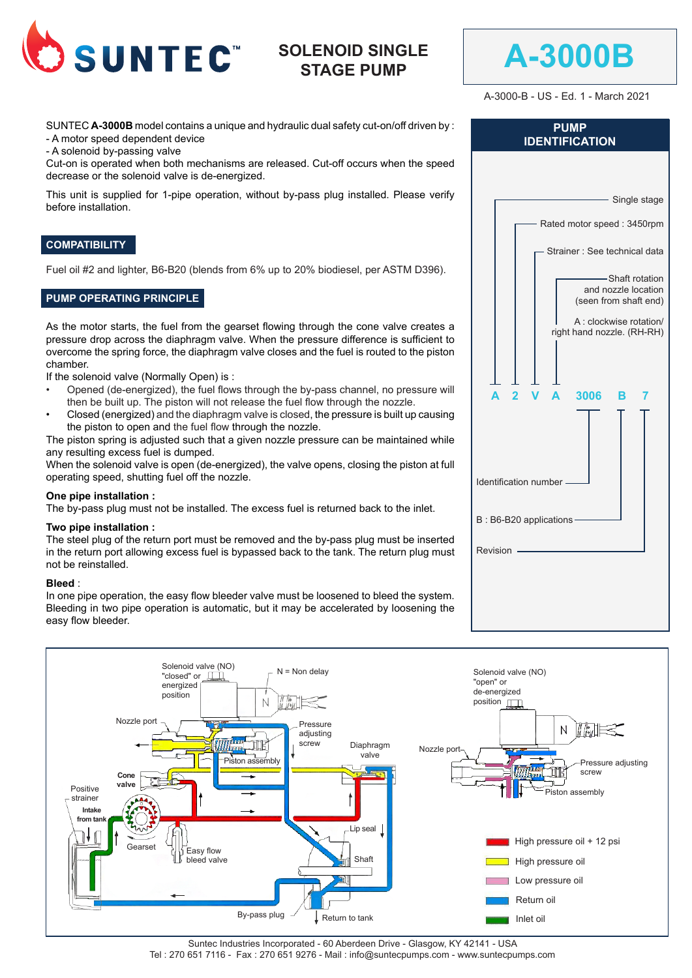

# **SOLENOID SINGLE STAGE PUMP**



A-3000-B - US - Ed. 1 - March 2021

SUNTEC **A-3000B** model contains a unique and hydraulic dual safety cut-on/off driven by : - A motor speed dependent device

- A solenoid by-passing valve

Cut-on is operated when both mechanisms are released. Cut-off occurs when the speed decrease or the solenoid valve is de-energized.

This unit is supplied for 1-pipe operation, without by-pass plug installed. Please verify before installation.

### **COMPATIBILITY**

Fuel oil #2 and lighter, B6-B20 (blends from 6% up to 20% biodiesel, per ASTM D396).

# **PUMP OPERATING PRINCIPLE**

As the motor starts, the fuel from the gearset flowing through the cone valve creates a pressure drop across the diaphragm valve. When the pressure difference is sufficient to overcome the spring force, the diaphragm valve closes and the fuel is routed to the piston chamber.

If the solenoid valve (Normally Open) is :

- Opened (de-energized), the fuel flows through the by-pass channel, no pressure will then be built up. The piston will not release the fuel flow through the nozzle.
- Closed (energized) and the diaphragm valve is closed, the pressure is built up causing the piston to open and the fuel flow through the nozzle.

The piston spring is adjusted such that a given nozzle pressure can be maintained while any resulting excess fuel is dumped.

When the solenoid valve is open (de-energized), the valve opens, closing the piston at full operating speed, shutting fuel off the nozzle.

### **One pipe installation :**

The by-pass plug must not be installed. The excess fuel is returned back to the inlet.

### **Two pipe installation :**

The steel plug of the return port must be removed and the by-pass plug must be inserted in the return port allowing excess fuel is bypassed back to the tank. The return plug must not be reinstalled.

#### **Bleed** :

In one pipe operation, the easy flow bleeder valve must be loosened to bleed the system. Bleeding in two pipe operation is automatic, but it may be accelerated by loosening the easy flow bleeder.

| <b>PUMP</b><br><b>IDENTIFICATION</b>                            |  |  |  |
|-----------------------------------------------------------------|--|--|--|
|                                                                 |  |  |  |
| - Single stage                                                  |  |  |  |
| Rated motor speed: 3450rpm                                      |  |  |  |
| - Strainer : See technical data                                 |  |  |  |
| -Shaft rotation<br>and nozzle location<br>(seen from shaft end) |  |  |  |
| A : clockwise rotation/<br>right hand nozzle. (RH-RH)           |  |  |  |
|                                                                 |  |  |  |
| 3006<br>Δ<br>в                                                  |  |  |  |
|                                                                 |  |  |  |
| Identification number -                                         |  |  |  |
| B: B6-B20 applications-                                         |  |  |  |
| Revision                                                        |  |  |  |
|                                                                 |  |  |  |
|                                                                 |  |  |  |



Suntec Industries Incorporated - 60 Aberdeen Drive - Glasgow, KY 42141 - USA Tel : 270 651 7116 - Fax : 270 651 9276 - Mail : info@suntecpumps.com - www.suntecpumps.com